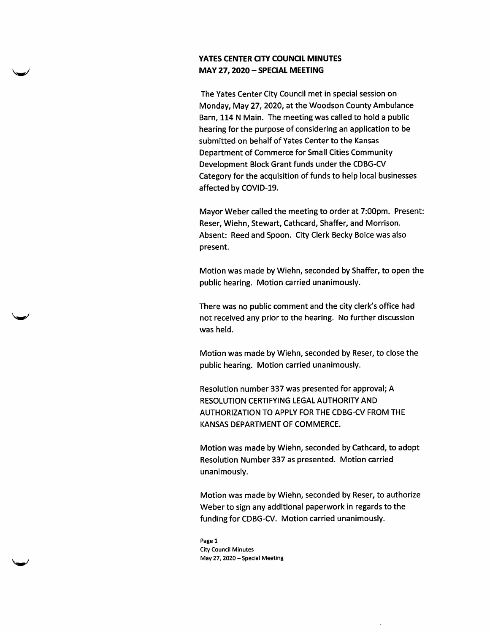## YATES CENTER CITY COUNCIL MINUTES MAY 27,2020 - SPECIAL MEETING

The Yates Center City Council met in special session on Monday, May 27, 2020, at the Woodson County Ambulance Barn, 114 N Main. The meeting was called to hold a public hearing for the purpose of considering an application to be submitted on behalf of Yates Center to the Kansas Department of Commerce for Small Cities Community Development Block Grant funds under the CDBG-CV Category for the acquisition of funds to help local businesses affected by COVID-19.

Mayor Weber called the meeting to order at 7:00pm. Present: Reser, Wiehn, Stewart, Cathcard, Shaffer, and Morrison. Absent: Reed and Spoon. City Clerk Becky Boice was also present.

Motion was made by Wiehn, seconded by Shaffer, to open the public hearing. Motion carried unanimously.

There was no public comment and the city clerk's office had not received any prior to the hearing. No further discussion was held.

Motion was made by Wiehn, seconded by Reser, to close the public hearing. Motion carried unanimously.

Resolution number 337 was presented for approval; A RESOLUTION CERTIFYING LEGAL AUTHORITY AND AUTHORIZATION TO APPLY FOR THE CDBG-CV FROM THE KANSAS DEPARTMENT OF COMMERCE.

Motion was made by Wiehn, seconded by Cathcard, to adopt Resolution Number 337 as presented. Motion carried unanimously.

Motion was made by Wiehn, seconded by Reser, to authorize Weber to sign any additional paperwork in regards to the funding for CDBG-CV. Motion carried unanimously.

Page 1 City Council Minutes May 27, 2020 - Special Meeting